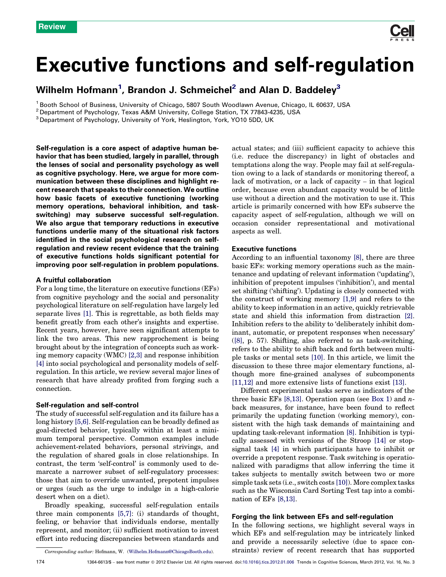# Executive functions and self-regulation

Wilhelm Hofmann<sup>1</sup>, Brandon J. Schmeichel<sup>2</sup> and Alan D. Baddeley $^3$ 

<sup>1</sup> Booth School of Business, University of Chicago, 5807 South Woodlawn Avenue, Chicago, IL 60637, USA

<sup>3</sup> Department of Psychology, University of York, Heslington, York, YO10 5DD, UK

Self-regulation is a core aspect of adaptive human behavior that has been studied, largely in parallel, through the lenses of social and personality psychology as well as cognitive psychology. Here, we argue for more communication between these disciplines and highlight recent research that speaks to their connection. We outline how basic facets of executive functioning (working memory operations, behavioral inhibition, and taskswitching) may subserve successful self-regulation. We also argue that temporary reductions in executive functions underlie many of the situational risk factors identified in the social psychological research on selfregulation and review recent evidence that the training of executive functions holds significant potential for improving poor self-regulation in problem populations.

#### A fruitful collaboration

For a long time, the literature on executive functions (EFs) from cognitive psychology and the social and personality psychological literature on self-regulation have largely led separate lives [\[1\]](#page-4-0). This is regrettable, as both fields may benefit greatly from each other's insights and expertise. Recent years, however, have seen significant attempts to link the two areas. This new rapprochement is being brought about by the integration of concepts such as working memory capacity (WMC) [\[2,3\]](#page-4-0) and response inhibition [\[4\]](#page-4-0) into social psychological and personality models of selfregulation. In this article, we review several major lines of research that have already profited from forging such a connection.

#### Self-regulation and self-control

The study of successful self-regulation and its failure has a long history [\[5,6\].](#page-4-0) Self-regulation can be broadly defined as goal-directed behavior, typically within at least a minimum temporal perspective. Common examples include achievement-related behaviors, personal strivings, and the regulation of shared goals in close relationships. In contrast, the term 'self-control' is commonly used to demarcate a narrower subset of self-regulatory processes: those that aim to override unwanted, prepotent impulses or urges (such as the urge to indulge in a high-calorie desert when on a diet).

Broadly speaking, successful self-regulation entails three main components [\[5,7\]:](#page-4-0) (i) standards of thought, feeling, or behavior that individuals endorse, mentally represent, and monitor; (ii) sufficient motivation to invest effort into reducing discrepancies between standards and actual states; and (iii) sufficient capacity to achieve this (i.e. reduce the discrepancy) in light of obstacles and temptations along the way. People may fail at self-regulation owing to a lack of standards or monitoring thereof, a lack of motivation, or a lack of capacity – in that logical order, because even abundant capacity would be of little use without a direction and the motivation to use it. This article is primarily concerned with how EFs subserve the capacity aspect of self-regulation, although we will on occasion consider representational and motivational aspects as well.

# Executive functions

According to an influential taxonomy [\[8\],](#page-4-0) there are three basic EFs: working memory operations such as the maintenance and updating of relevant information ('updating'), inhibition of prepotent impulses ('inhibition'), and mental set shifting ('shifting'). Updating is closely connected with the construct of working memory [\[1,9\]](#page-4-0) and refers to the ability to keep information in an active, quickly retrievable state and shield this information from distraction [\[2\]](#page-4-0). Inhibition refers to the ability to 'deliberately inhibit dominant, automatic, or prepotent responses when necessary' ([\[8\],](#page-4-0) p. 57). Shifting, also referred to as task-switching, refers to the ability to shift back and forth between multiple tasks or mental sets [\[10\]](#page-4-0). In this article, we limit the discussion to these three major elementary functions, although more fine-grained analyses of subcomponents [\[11,12\]](#page-4-0) and more extensive lists of functions exist [\[13\].](#page-4-0)

Different experimental tasks serve as indicators of the three basic EFs  $[8,13]$ . Operation span (see [Box 1](#page-1-0)) and *n*back measures, for instance, have been found to reflect primarily the updating function (working memory), consistent with the high task demands of maintaining and updating task-relevant information [\[8\]](#page-4-0). Inhibition is typically assessed with versions of the Stroop [\[14\]](#page-4-0) or stopsignal task [\[4\]](#page-4-0) in which participants have to inhibit or override a prepotent response. Task switching is operationalized with paradigms that allow inferring the time it takes subjects to mentally switch between two or more simple task sets (i.e., switch costs [\[10\]\)](#page-4-0). More complex tasks such as the Wisconsin Card Sorting Test tap into a combination of EFs [\[8,13\].](#page-4-0)

#### Forging the link between EFs and self-regulation

In the following sections, we highlight several ways in which EFs and self-regulation may be intricately linked and provide a necessarily selective (due to space constraints) review of recent research that has supported

<sup>2</sup> Department of Psychology, Texas A&M University, College Station, TX 77843-4235, USA

Corresponding author: Hofmann, W. ([Wilhelm.Hofmann@ChicagoBooth.edu](mailto:Wilhelm.Hofmann@ChicagoBooth.edu)).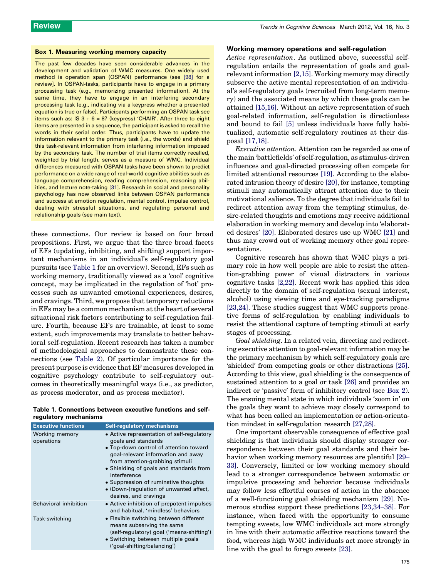# <span id="page-1-0"></span>Box 1. Measuring working memory capacity

The past few decades have seen considerable advances in the development and validation of WMC measures. One widely used method is operation span (OSPAN) performance (see [\[98\]](#page-6-0) for a review]. In OSPAN-tasks, participants have to engage in a primary processing task (e.g., memorizing presented information). At the same time, they have to engage in an interfering secondary processing task (e.g., indicating via a keypress whether a presented equation is true or false). Participants performing an OSPAN task see items such as: IS  $3 + 6 = 8$ ? (keypress) 'CHAIR'. After three to eight items are presented in a sequence, the participant is asked to recall the words in their serial order. Thus, participants have to update the information relevant to the primary task (i.e., the words) and shield this task-relevant information from interfering information imposed by the secondary task. The number of trial items correctly recalled, weighted by trial length, serves as a measure of WMC. Individual differences measured with OSPAN tasks have been shown to predict performance on a wide range of real-world cognitive abilities such as language comprehension, reading comprehension, reasoning abilities, and lecture note-taking [\[31\]](#page-4-0). Research in social and personality psychology has now observed links between OSPAN performance and success at emotion regulation, mental control, impulse control, dealing with stressful situations, and regulating personal and relationship goals (see main text).

these connections. Our review is based on four broad propositions. First, we argue that the three broad facets of EFs (updating, inhibiting, and shifting) support important mechanisms in an individual's self-regulatory goal pursuits (see Table 1 for an overview). Second, EFs such as working memory, traditionally viewed as a 'cool' cognitive concept, may be implicated in the regulation of 'hot' processes such as unwanted emotional experiences, desires, and cravings. Third, we propose that temporary reductions in EFs may be a common mechanism at the heart of several situational risk factors contributing to self-regulation failure. Fourth, because EFs are trainable, at least to some extent, such improvements may translate to better behavioral self-regulation. Recent research has taken a number of methodological approaches to demonstrate these connections (see [Table 2\)](#page-2-0). Of particular importance for the present purpose is evidence that EF measures developed in cognitive psychology contribute to self-regulatory outcomes in theoretically meaningful ways (i.e., as predictor, as process moderator, and as process mediator).

| Table 1. Connections between executive functions and self- |  |  |  |
|------------------------------------------------------------|--|--|--|
| regulatory mechanisms                                      |  |  |  |

| <b>Executive functions</b>   | <b>Self-regulatory mechanisms</b>                                                                                                                                                                                                                                                                                                                           |
|------------------------------|-------------------------------------------------------------------------------------------------------------------------------------------------------------------------------------------------------------------------------------------------------------------------------------------------------------------------------------------------------------|
| Working memory<br>operations | • Active representation of self-regulatory<br>goals and standards<br>• Top-down control of attention toward<br>goal-relevant information and away<br>from attention-grabbing stimuli<br>• Shielding of goals and standards from<br>interference<br>• Suppression of ruminative thoughts<br>• (Down-)regulation of unwanted affect,<br>desires, and cravings |
| <b>Behavioral inhibition</b> | • Active inhibition of prepotent impulses<br>and habitual, 'mindless' behaviors                                                                                                                                                                                                                                                                             |
| Task-switching               | • Flexible switching between different<br>means subserving the same<br>(self-regulatory) goal ('means-shifting')<br>• Switching between multiple goals<br>('goal-shifting/balancing')                                                                                                                                                                       |

#### Working memory operations and self-regulation

Active representation. As outlined above, successful selfregulation entails the representation of goals and goalrelevant information [\[2,15\]](#page-4-0). Working memory may directly subserve the active mental representation of an individual's self-regulatory goals (recruited from long-term memory) and the associated means by which these goals can be attained [\[15,16\]](#page-4-0). Without an active representation of such goal-related information, self-regulation is directionless and bound to fail [\[5\]](#page-4-0) unless individuals have fully habitualized, automatic self-regulatory routines at their disposal [\[17,18\].](#page-4-0)

Executive attention. Attention can be regarded as one of the main 'battlefields' of self-regulation, as stimulus-driven influences and goal-directed processing often compete for limited attentional resources [\[19\]](#page-4-0). According to the elaborated intrusion theory of desire [\[20\]](#page-4-0), for instance, tempting stimuli may automatically attract attention due to their motivational salience. To the degree that individuals fail to redirect attention away from the tempting stimulus, desire-related thoughts and emotions may receive additional elaboration in working memory and develop into 'elaborated desires' [\[20\].](#page-4-0) Elaborated desires use up WMC [\[21\]](#page-4-0) and thus may crowd out of working memory other goal representations.

Cognitive research has shown that WMC plays a primary role in how well people are able to resist the attention-grabbing power of visual distractors in various cognitive tasks [\[2,22\].](#page-4-0) Recent work has applied this idea directly to the domain of self-regulation (sexual interest, alcohol) using viewing time and eye-tracking paradigms [\[23,24\]](#page-4-0). These studies suggest that WMC supports proactive forms of self-regulation by enabling individuals to resist the attentional capture of tempting stimuli at early stages of processing.

Goal shielding. In a related vein, directing and redirecting executive attention to goal-relevant information may be the primary mechanism by which self-regulatory goals are 'shielded' from competing goals or other distractions [\[25\]](#page-4-0). According to this view, goal shielding is the consequence of sustained attention to a goal or task [\[26\]](#page-4-0) and provides an indirect or 'passive' form of inhibitory control (see [Box 2](#page-2-0)). The ensuing mental state in which individuals 'zoom in' on the goals they want to achieve may closely correspond to what has been called an implementation or action-orientation mindset in self-regulation research [\[27,28\].](#page-4-0)

One important observable consequence of effective goal shielding is that individuals should display stronger correspondence between their goal standards and their behavior when working memory resources are plentiful [\[29](#page-4-0)– [33\]](#page-4-0). Conversely, limited or low working memory should lead to a stronger correspondence between automatic or impulsive processing and behavior because individuals may follow less effortful courses of action in the absence of a well-functioning goal shielding mechanism [\[29\].](#page-4-0) Numerous studies support these predictions [\[23,34](#page-4-0)–38]. For instance, when faced with the opportunity to consume tempting sweets, low WMC individuals act more strongly in line with their automatic affective reactions toward the food, whereas high WMC individuals act more strongly in line with the goal to forego sweets [\[23\]](#page-4-0).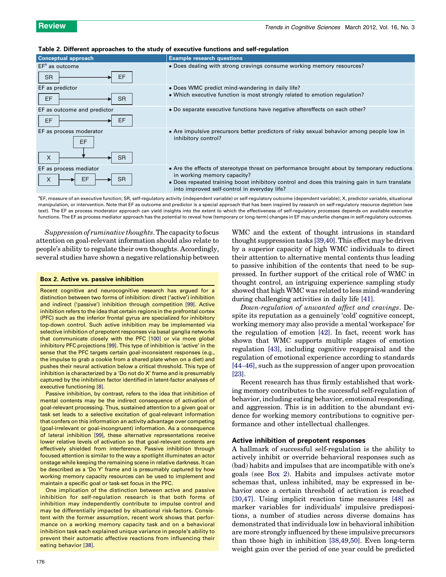# <span id="page-2-0"></span>Table 2. Different approaches to the study of executive functions and self-regulation



<sup>a</sup>EF, measure of an executive function; SR, self-regulatory activity (independent variable) or self-regulatory outcome (dependent variable); X, predictor variable, situational manipulation, or intervention. Note that EF as outcome and predictor is a special approach that has been inspired by research on self-regulatory resource depletion (see text). The EF as process moderator approach can yield insights into the extent to which the effectiveness of self-regulatory processes depends on available executive functions. The EF as process mediator approach has the potential to reveal how (temporary or long-term) changes in EF may underlie changes in self-regulatory outcomes.

Suppression of ruminative thoughts. The capacity to focus attention on goal-relevant information should also relate to people's ability to regulate their own thoughts. Accordingly, several studies have shown a negative relationship between

#### Box 2. Active vs. passive inhibition

Recent cognitive and neurocognitive research has argued for a distinction between two forms of inhibition: direct ('active') inhibition and indirect ('passive') inhibition through competition [\[99\].](#page-6-0) Active inhibition refers to the idea that certain regions in the prefrontal cortex (PFC) such as the inferior frontal gyrus are specialized for inhibitory top-down control. Such active inhibition may be implemented via selective inhibition of prepotent responses via basal ganglia networks that communicate closely with the PFC [\[100\]](#page-6-0) or via more global inhibitory PFC projections [\[99\].](#page-6-0) This type of inhibition is 'active' in the sense that the PFC targets certain goal-inconsistent responses (e.g., the impulse to grab a cookie from a shared plate when on a diet) and pushes their neural activation below a critical threshold. This type of inhibition is characterized by a 'Do not do X' frame and is presumably captured by the inhibition factor identified in latent-factor analyses of executive functioning [\[8\].](#page-4-0)

Passive inhibition, by contrast, refers to the idea that inhibition of mental contents may be the indirect consequence of activation of goal-relevant processing. Thus, sustained attention to a given goal or task set leads to a selective excitation of goal-relevant information that confers on this information an activity advantage over competing (goal-irrelevant or goal-incongruent) information. As a consequence of lateral inhibition [\[99\]](#page-6-0), these alternative representations receive lower relative levels of activation so that goal-relevant contents are effectively shielded from interference. Passive inhibition through focused attention is similar to the way a spotlight illuminates an actor onstage while keeping the remaining scene in relative darkness. It can be described as a 'Do Y' frame and is presumably captured by how working memory capacity resources can be used to implement and maintain a specific goal or task-set focus in the PFC.

One implication of the distinction between active and passive inhibition for self-regulation research is that both forms of inhibition may independently contribute to impulse control and may be differentially impacted by situational risk-factors. Consistent with the former assumption, recent work shows that performance on a working memory capacity task and on a behavioral inhibition task each explained unique variance in people's ability to prevent their automatic affective reactions from influencing their eating behavior [\[38\]](#page-5-0).

176

WMC and the extent of thought intrusions in standard thought suppression tasks [\[39,40\].](#page-5-0) This effect may be driven by a superior capacity of high WMC individuals to direct their attention to alternative mental contents thus leading to passive inhibition of the contents that need to be suppressed. In further support of the critical role of WMC in thought control, an intriguing experience sampling study showed that high WMC was related to less mind-wandering during challenging activities in daily life [\[41\]](#page-5-0).

Down-regulation of unwanted affect and cravings. Despite its reputation as a genuinely 'cold' cognitive concept, working memory may also provide a mental 'workspace' for the regulation of emotion [\[42\].](#page-5-0) In fact, recent work has shown that WMC supports multiple stages of emotion regulation [\[43\],](#page-5-0) including cognitive reappraisal and the regulation of emotional experience according to standards [44–[46\]](#page-5-0), such as the suppression of anger upon provocation [\[23\]](#page-4-0).

Recent research has thus firmly established that working memory contributes to the successful self-regulation of behavior, including eating behavior, emotional responding, and aggression. This is in addition to the abundant evidence for working memory contributions to cognitive performance and other intellectual challenges.

# Active inhibition of prepotent responses

A hallmark of successful self-regulation is the ability to actively inhibit or override behavioral responses such as (bad) habits and impulses that are incompatible with one's goals (see Box 2). Habits and impulses activate motor schemas that, unless inhibited, may be expressed in behavior once a certain threshold of activation is reached [\[30,47\]](#page-4-0). Using implicit reaction time measures [\[48\]](#page-5-0) as marker variables for individuals' impulsive predispositions, a number of studies across diverse domains has demonstrated that individuals low in behavioral inhibition are more strongly influenced by these impulsive precursors than those high in inhibition [\[38,49,50\].](#page-5-0) Even long-term weight gain over the period of one year could be predicted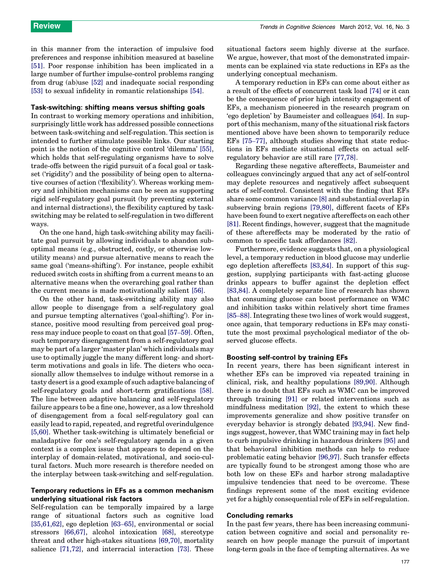in this manner from the interaction of impulsive food preferences and response inhibition measured at baseline [\[51\]](#page-5-0). Poor response inhibition has been implicated in a large number of further impulse-control problems ranging from drug (ab)use [\[52\]](#page-5-0) and inadequate social responding [\[53\]](#page-5-0) to sexual infidelity in romantic relationships [\[54\].](#page-5-0)

# Task-switching: shifting means versus shifting goals

In contrast to working memory operations and inhibition, surprisingly little work has addressed possible connections between task-switching and self-regulation. This section is intended to further stimulate possible links. Our starting point is the notion of the cognitive control 'dilemma' [\[55\]](#page-5-0), which holds that self-regulating organisms have to solve trade-offs between the rigid pursuit of a focal goal or taskset ('rigidity') and the possibility of being open to alternative courses of action ('flexibility'). Whereas working memory and inhibition mechanisms can be seen as supporting rigid self-regulatory goal pursuit (by preventing external and internal distractions), the flexibility captured by taskswitching may be related to self-regulation in two different ways.

On the one hand, high task-switching ability may facilitate goal pursuit by allowing individuals to abandon suboptimal means (e.g., obstructed, costly, or otherwise lowutility means) and pursue alternative means to reach the same goal ('means-shifting'). For instance, people exhibit reduced switch costs in shifting from a current means to an alternative means when the overarching goal rather than the current means is made motivationally salient [\[56\].](#page-5-0)

On the other hand, task-switching ability may also allow people to disengage from a self-regulatory goal and pursue tempting alternatives ('goal-shifting'). For instance, positive mood resulting from perceived goal progress may induce people to coast on that goal [\[57](#page-5-0)–59]. Often, such temporary disengagement from a self-regulatory goal may be part of a larger 'master plan' which individuals may use to optimally juggle the many different long- and shortterm motivations and goals in life. The dieters who occasionally allow themselves to indulge without remorse in a tasty desert is a good example of such adaptive balancing of self-regulatory goals and short-term gratifications [\[58\]](#page-5-0). The line between adaptive balancing and self-regulatory failure appears to be a fine one, however, as a low threshold of disengagement from a focal self-regulatory goal can easily lead to rapid, repeated, and regretful overindulgence [\[5,60\].](#page-4-0) Whether task-switching is ultimately beneficial or maladaptive for one's self-regulatory agenda in a given context is a complex issue that appears to depend on the interplay of domain-related, motivational, and socio-cultural factors. Much more research is therefore needed on the interplay between task-switching and self-regulation.

# Temporary reductions in EFs as a common mechanism underlying situational risk factors

Self-regulation can be temporally impaired by a large range of situational factors such as cognitive load [\[35,61,62\]](#page-5-0), ego depletion [\[63](#page-5-0)–65], environmental or social stressors [\[66,67\],](#page-5-0) alcohol intoxication [\[68\]](#page-5-0), stereotype threat and other high-stakes situations [\[69,70\]](#page-5-0), mortality salience [\[71,72\],](#page-5-0) and interracial interaction [\[73\]](#page-5-0). These

situational factors seem highly diverse at the surface. We argue, however, that most of the demonstrated impairments can be explained via state reductions in EFs as the underlying conceptual mechanism.

A temporary reduction in EFs can come about either as a result of the effects of concurrent task load [\[74\]](#page-5-0) or it can be the consequence of prior high intensity engagement of EFs, a mechanism pioneered in the research program on 'ego depletion' by Baumeister and colleagues [\[64\]](#page-5-0). In support of this mechanism, many of the situational risk factors mentioned above have been shown to temporarily reduce EFs [\[75](#page-5-0)–77], although studies showing that state reductions in EFs mediate situational effects on actual selfregulatory behavior are still rare [\[77,78\]](#page-5-0).

Regarding these negative aftereffects, Baumeister and colleagues convincingly argued that any act of self-control may deplete resources and negatively affect subsequent acts of self-control. Consistent with the finding that EFs share some common variance [\[8\]](#page-4-0) and substantial overlap in subserving brain regions [\[79,80\],](#page-5-0) different facets of EFs have been found to exert negative aftereffects on each other [\[81\]](#page-5-0). Recent findings, however, suggest that the magnitude of these aftereffects may be moderated by the ratio of common to specific task affordances [\[82\]](#page-5-0).

Furthermore, evidence suggests that, on a physiological level, a temporary reduction in blood glucose may underlie ego depletion aftereffects [\[83,84\].](#page-5-0) In support of this suggestion, supplying participants with fast-acting glucose drinks appears to buffer against the depletion effect [\[83,84\]](#page-5-0). A completely separate line of research has shown that consuming glucose can boost performance on WMC and inhibition tasks within relatively short time frames [85–[88\]](#page-5-0). Integrating these two lines of work would suggest, once again, that temporary reductions in EFs may constitute the most proximal psychological mediator of the observed glucose effects.

#### Boosting self-control by training EFs

In recent years, there has been significant interest in whether EFs can be improved via repeated training in clinical, risk, and healthy populations [\[89,90\].](#page-6-0) Although there is no doubt that EFs such as WMC can be improved through training [\[91\]](#page-6-0) or related interventions such as mindfulness meditation [\[92\]](#page-6-0), the extent to which these improvements generalize and show positive transfer on everyday behavior is strongly debated [\[93,94\]](#page-6-0). New findings suggest, however, that WMC training may in fact help to curb impulsive drinking in hazardous drinkers [\[95\]](#page-6-0) and that behavioral inhibition methods can help to reduce problematic eating behavior [\[96,97\].](#page-6-0) Such transfer effects are typically found to be strongest among those who are both low on these EFs and harbor strong maladaptive impulsive tendencies that need to be overcome. These findings represent some of the most exciting evidence yet for a highly consequential role of EFs in self-regulation.

# Concluding remarks

In the past few years, there has been increasing communication between cognitive and social and personality research on how people manage the pursuit of important long-term goals in the face of tempting alternatives. As we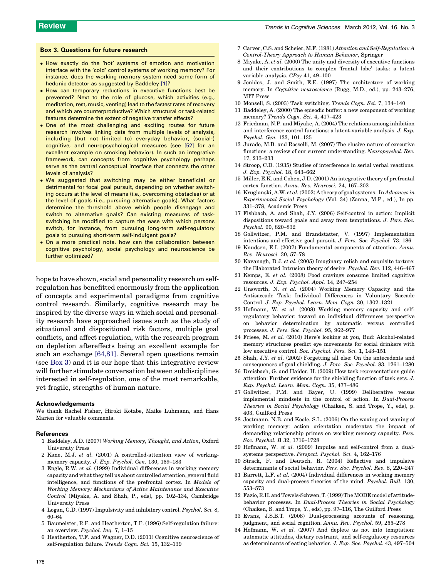# <span id="page-4-0"></span>Box 3. Questions for future research

- How exactly do the 'hot' systems of emotion and motivation interface with the 'cold' control systems of working memory? For instance, does the working memory system need some form of hedonic detector as suggested by Baddeley [1]?
- How can temporary reductions in executive functions best be prevented? Next to the role of glucose, which activities (e.g., meditation, rest, music, venting) lead to the fastest rates of recovery and which are counterproductive? Which structural or task-related features determine the extent of negative transfer effects?
- One of the most challenging and exciting routes for future research involves linking data from multiple levels of analysis, including (but not limited to) everyday behavior, (social-) cognitive, and neuropsychological measures (see [\[52\]](#page-5-0) for an excellent example on smoking behavior). In such an integrative framework, can concepts from cognitive psychology perhaps serve as the central conceptual interface that connects the other levels of analysis?
- We suggested that switching may be either beneficial or detrimental for focal goal pursuit, depending on whether switching occurs at the level of means (i.e., overcoming obstacles) or at the level of goals (i.e., pursuing alternative goals). What factors determine the threshold above which people disengage and switch to alternative goals? Can existing measures of taskswitching be modified to capture the ease with which persons switch, for instance, from pursuing long-term self-regulatory goals to pursuing short-term self-indulgent goals?
- $\bullet$  On a more practical note, how can the collaboration between cognitive psychology, social psychology and neuroscience be further optimized?

hope to have shown, social and personality research on selfregulation has benefitted enormously from the application of concepts and experimental paradigms from cognitive control research. Similarly, cognitive research may be inspired by the diverse ways in which social and personality research have approached issues such as the study of situational and dispositional risk factors, multiple goal conflicts, and affect regulation, with the research program on depletion aftereffects being an excellent example for such an exchange [\[64,81\].](#page-5-0) Several open questions remain (see Box 3) and it is our hope that this integrative review will further stimulate conversation between subdisciplines interested in self-regulation, one of the most remarkable, yet fragile, strengths of human nature.

#### Acknowledgements

We thank Rachel Fisher, Hiroki Kotabe, Maike Luhmann, and Hans Marien for valuable comments.

#### References

- 1 Baddeley, A.D. (2007) Working Memory, Thought, and Action, Oxford University Press
- 2 Kane, M.J. et al. (2001) A controlled-attention view of workingmemory capacity. J. Exp. Psychol. Gen. 130, 169–183
- 3 Engle, R.W. et al. (1999) Individual differences in working memory capacity and what they tell us about controlled attention, general fluid intelligence, and functions of the prefrontal cortex. In Models of Working Memory: Mechanisms of Active Maintenance and Executive Control (Miyake, A. and Shah, P., eds), pp. 102–134, Cambridge University Press
- 4 Logan, G.D. (1997) Impulsivity and inhibitory control. Psychol. Sci. 8, 60–64
- 5 Baumeister, R.F. and Heatherton, T.F. (1996) Self-regulation failure: an overview. Psychol. Inq. 7, 1–15
- 6 Heatherton, T.F. and Wagner, D.D. (2011) Cognitive neuroscience of self-regulation failure. Trends Cogn. Sci. 15, 132–139
- 7 Carver, C.S. and Scheier, M.F. (1981) Attention and Self-Regulation: A Control-Theory Approach to Human Behavior, Springer
- 8 Miyake, A. et al. (2000) The unity and diversity of executive functions and their contributions to complex 'frontal lobe' tasks: a latent variable analysis. CPsy 41, 49–100
- 9 Jonides, J. and Smith, E.E. (1997) The architecture of working memory. In Cognitive neuroscience (Rugg, M.D., ed.), pp. 243–276, MIT Press
- 10 Monsell, S. (2003) Task switching. Trends Cogn. Sci. 7, 134–140
- 11 Baddeley, A. (2000) The episodic buffer: a new component of working memory? Trends Cogn. Sci. 4, 417–423
- 12 Friedman, N.P. and Miyake, A. (2004) The relations among inhibition and interference control functions: a latent-variable analysis. J. Exp. Psychol. Gen. 133, 101–135
- 13 Jurado, M.B. and Rosselli, M. (2007) The elusive nature of executive functions: a review of our current understanding. Neuropsychol. Rev. 17, 213–233
- 14 Stroop, C.D. (1935) Studies of interference in serial verbal reactions. J. Exp. Psychol. 18, 643–662
- 15 Miller, E.K. and Cohen, J.D. (2001) An integrative theory of prefrontal cortex function. Annu. Rev. Neurosci. 24, 167–202
- 16 Kruglanski, A.W. et al. (2002) A theory of goal systems. In Advances in Experimental Social Psychology (Vol. 34) (Zanna, M.P., ed.), In pp. 331–378, Academic Press
- 17 Fishbach, A. and Shah, J.Y. (2006) Self-control in action: Implicit dispositions toward goals and away from temptations. J. Pers. Soc. Psychol. 90, 820–832
- 18 Gollwitzer, P.M. and Brandstätter, V. (1997) Implementation intentions and effective goal pursuit. J. Pers. Soc. Psychol. 73, 186
- 19 Knudsen, E.I. (2007) Fundamental components of attention. Annu. Rev. Neurosci. 30, 57–78
- 20 Kavanagh, D.J. et al. (2005) Imaginary relish and exquisite torture: the Elaborated Intrusion theory of desire. Psychol. Rev. 112, 446–467
- 21 Kemps, E. et al. (2008) Food cravings consume limited cognitive resources. J. Exp. Psychol. Appl. 14, 247–254
- 22 Unsworth, N. et al. (2004) Working Memory Capacity and the Antisaccade Task: Individual Differences in Voluntary Saccade Control. J. Exp. Psychol. Learn. Mem. Cogn. 30, 1302–1321
- 23 Hofmann, W. et al. (2008) Working memory capacity and selfregulatory behavior: toward an individual differences perspective on behavior determination by automatic versus controlled processes. J. Pers. Soc. Psychol. 95, 962–977
- 24 Friese, M. et al. (2010) Here's looking at you, Bud: Alcohol-related memory structures predict eye movements for social drinkers with low executive control. Soc. Psychol. Pers. Sci. 1, 143–151
- 25 Shah, J.Y. et al. (2002) Forgetting all else: On the antecedents and consequences of goal shielding. J. Pers. Soc. Psychol. 83, 1261–1280
- 26 Dreisbach, G. and Haider, H. (2009) How task representations guide attention: Further evidence for the shielding function of task sets. J. Exp. Psychol. Learn. Mem. Cogn. 35, 477–486
- 27 Gollwitzer, P.M. and Bayer, U. (1999) Deliberative versus implemental mindsets in the control of action. In Dual-Process Theories in Social Psychology (Chaiken, S. and Trope, Y., eds), p. 403, Guilford Press
- 28 Jostmann, N.B. and Koole, S.L. (2006) On the waxing and waning of working memory: action orientation moderates the impact of demanding relationship primes on working memory capacity. Pers. Soc. Psychol. B 32, 1716–1728
- 29 Hofmann, W. et al. (2009) Impulse and self-control from a dualsystems perspective. Perspect. Psychol. Sci. 4, 162–176
- 30 Strack, F. and Deutsch, R. (2004) Reflective and impulsive determinants of social behavior. Pers. Soc. Psychol. Rev. 8, 220–247
- 31 Barrett, L.F. et al. (2004) Individual differences in working memory capacity and dual-process theories of the mind. Psychol. Bull. 130, 553–573
- 32 Fazio, R.H. and Towels-Schwen, T. (1999) The MODE model of attitudebehavior processes. In *Dual-Process Theories in Social Psychology* (Chaiken, S. and Trope, Y., eds), pp. 97–116, The Guilford Press
- 33 Evans, J.S.B.T. (2008) Dual-processing accounts of reasoning, judgment, and social cognition. Annu. Rev. Psychol. 59, 255–278
- 34 Hofmann, W. et al. (2007) And deplete us not into temptation: automatic attitudes, dietary restraint, and self-regulatory resources as determinants of eating behavior. J. Exp. Soc. Psychol. 43, 497–504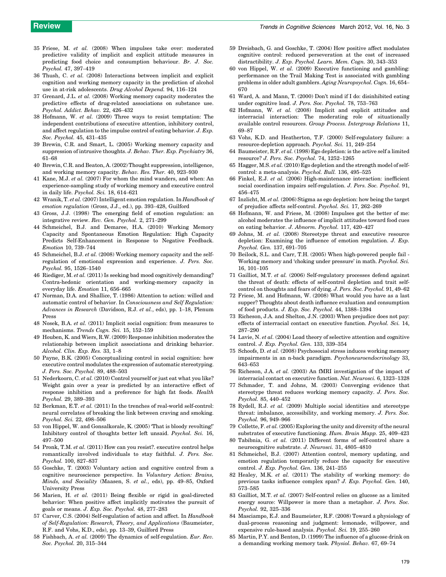- <span id="page-5-0"></span>35 Friese, M. et al. (2008) When impulses take over: moderated predictive validity of implicit and explicit attitude measures in predicting food choice and consumption behaviour. Br. J. Soc. Psychol. 47, 397–419
- 36 Thush, C. et al. (2008) Interactions between implicit and explicit cognition and working memory capacity in the prediction of alcohol use in at-risk adolescents. Drug Alcohol Depend. 94, 116–124
- 37 Grenard, J.L. et al. (2008) Working memory capacity moderates the predictive effects of drug-related associations on substance use. Psychol. Addict. Behav. 22, 426–432
- 38 Hofmann, W. et al. (2009) Three ways to resist temptation: The independent contributions of executive attention, inhibitory control, and affect regulation to the impulse control of eating behavior. J. Exp. Soc. Psychol. 45, 431–435
- 39 Brewin, C.R. and Smart, L. (2005) Working memory capacity and suppression of intrusive thoughts. J. Behav. Ther. Exp. Psychiatry 36, 61–68
- 40 Brewin, C.R. and Beaton, A. (2002) Thought suppression, intelligence, and working memory capacity. Behav. Res. Ther. 40, 923–930
- 41 Kane, M.J. et al. (2007) For whom the mind wanders, and when: An experience-sampling study of working memory and executive control in daily life. Psychol. Sci. 18, 614–621
- 42 Wranik, T. et al. (2007) Intelligent emotion regulation. In Handbook of emotion regulation (Gross, J.J., ed.), pp. 393–428, Guilford
- 43 Gross, J.J. (1998) The emerging field of emotion regulation: an integrative review. Rev. Gen. Psychol. 2, 271–299
- 44 Schmeichel, B.J. and Demaree, H.A. (2010) Working Memory Capacity and Spontaneous Emotion Regulation: High Capacity Predicts Self-Enhancement in Response to Negative Feedback. Emotion 10, 739–744
- 45 Schmeichel, B.J. et al. (2008) Working memory capacity and the selfregulation of emotional expression and experience. J. Pers. Soc. Psychol. 95, 1526–1540
- 46 Riediger, M. et al. (2011) Is seeking bad mood cognitively demanding? Contra-hedonic orientation and working-memory capacity in everyday life. Emotion 11, 656–665
- 47 Norman, D.A. and Shallice, T. (1986) Attention to action: willed and automatic control of behavior. In Consciousness and Self Regulation: Advances in Research (Davidson, R.J. et al., eds), pp. 1–18, Plenum Press
- 48 Nosek, B.A. et al. (2011) Implicit social cognition: from measures to mechanisms. Trends Cogn. Sci. 15, 152–159
- 49 Houben, K. and Wiers, R.W. (2009) Response inhibition moderates the relationship between implicit associations and drinking behavior. Alcohol. Clin. Exp. Res. 33, 1–8
- 50 Payne, B.K. (2005) Conceptualizing control in social cognition: how executive control modulates the expression of automatic stereotyping. J. Pers. Soc. Psychol. 89, 488–503
- 51 Nederkoorn, C. et al. (2010) Control yourself or just eat what you like? Weight gain over a year is predicted by an interactive effect of response inhibition and a preference for high fat foods. Health Psychol. 29, 389–393
- 52 Berkman, E.T. et al. (2011) In the trenches of real-world self-control: neural correlates of breaking the link between craving and smoking. Psychol. Sci. 22, 498–506
- 53 von Hippel, W. and Gonsalkorale, K. (2005) 'That is bloody revolting!' Inhibitory control of thoughts better left unsaid. Psychol. Sci. 16, 497–500
- 54 Pronk, T.M. et al. (2011) How can you resist?. executive control helps romantically involved individuals to stay faithful. J. Pers. Soc. Psychol. 100, 827–837
- 55 Goschke, T. (2003) Voluntary action and cognitive control from a cognitive neuroscience perspective. In Voluntary Action: Brains, Minds, and Sociality (Maasen, S. et al., eds), pp. 49–85, Oxford University Press
- 56 Marien, H. et al. (2011) Being flexible or rigid in goal-directed behavior: When positive affect implicitly motivates the pursuit of goals or means. J. Exp. Soc. Psychol. 48, 277–283
- 57 Carver, C.S. (2004) Self-regulation of action and affect. In Handbook of Self-Regulation: Research, Theory, and Applications (Baumeister, R.F. and Vohs, K.D., eds), pp. 13–39, Guilford Press
- 58 Fishbach, A. et al. (2009) The dynamics of self-regulation. Eur. Rev. Soc. Psychol. 20, 315–344
- 59 Dreisbach, G. and Goschke, T. (2004) How positive affect modulates cognitive control: reduced perseveration at the cost of increased distractibility. J. Exp. Psychol. Learn. Mem. Cogn. 30, 343–353
- 60 von Hippel, W. et al. (2009) Executive functioning and gambling: performance on the Trail Making Test is associated with gambling problems in older adult gamblers. Aging Neuropsychol. Cogn. 16, 654– 670
- 61 Ward, A. and Mann, T. (2000) Don't mind if I do: disinhibited eating under cognitive load. J. Pers. Soc. Psychol. 78, 753–763
- 62 Hofmann, W. et al. (2008) Implicit and explicit attitudes and interracial interaction: The moderating role of situationally available control resources. Group Process. Intergroup Relations 11, 69–87
- 63 Vohs, K.D. and Heatherton, T.F. (2000) Self-regulatory failure: a resource-depletion approach. Psychol. Sci. 11, 249–254
- 64 Baumeister, R.F. et al. (1998) Ego depletion: is the active self a limited resource? J. Pers. Soc. Psychol. 74, 1252–1265
- 65 Hagger, M.S. et al.  $(2010)$  Ego depletion and the strength model of selfcontrol: a meta-analysis. Psychol. Bull. 136, 495–525
- 66 Finkel, E.J. et al. (2006) High-maintenance interaction: inefficient social coordination impairs self-regulation. J. Pers. Soc. Psychol. 91, 456–475
- 67 Inzlicht, M. et al. (2006) Stigma as ego depletion: how being the target of prejudice affects self-control. Psychol. Sci. 17, 262–269
- 68 Hofmann, W. and Friese, M. (2008) Impulses got the better of me: alcohol moderates the influence of implicit attitudes toward food cues on eating behavior. J. Abnorm. Psychol. 117, 420–427
- 69 Johns, M. et al. (2008) Stereotype threat and executive resource depletion: Examining the influence of emotion regulation. J. Exp. Psychol. Gen. 137, 691–705
- 70 Beilock, S.L. and Carr, T.H. (2005) When high-powered people fail Working memory and 'choking under pressure' in math. Psychol. Sci. 16, 101–105
- 71 Gailliot, M.T. et al. (2006) Self-regulatory processes defend against the threat of death: effects of self-control depletion and trait selfcontrol on thoughts and fears of dying. J. Pers. Soc. Psychol. 91, 49–62
- 72 Friese, M. and Hofmann, W. (2008) What would you have as a last supper? Thoughts about death influence evaluation and consumption of food products. J. Exp. Soc. Psychol. 44, 1388–1394
- 73 Richeson, J.A. and Shelton, J.N. (2003) When prejudice does not pay: effects of interracial contact on executive function. Psychol. Sci. 14, 287–290
- 74 Lavie, N. et al. (2004) Load theory of selective attention and cognitive control. J. Exp. Psychol. Gen. 133, 339–354
- 75 Schoofs, D. et al. (2008) Psychosocial stress induces working memory impairments in an n-back paradigm. Psychoneuroendocrinology 33, 643–653
- 76 Richeson, J.A. et al. (2003) An fMRI investigation of the impact of interracial contact on executive function. Nat. Neurosci. 6, 1323–1328
- 77 Schmader, T. and Johns, M. (2003) Converging evidence that stereotype threat reduces working memory capacity. J. Pers. Soc. Psychol. 85, 440–452
- 78 Rydell, R.J. et al. (2009) Multiple social identities and stereotype threat: imbalance, accessibility, and working memory. J. Pers. Soc. Psychol. 96, 949–966
- 79 Collette, F. et al. (2005) Exploring the unity and diversity of the neural substrates of executive functioning. Hum. Brain Mapp. 25, 409–423
- 80 Tabibnia, G. et al. (2011) Different forms of self-control share a neurocognitive substrate. J. Neurosci. 31, 4805–4810
- 81 Schmeichel, B.J. (2007) Attention control, memory updating, and emotion regulation temporarily reduce the capacity for executive control. J. Exp. Psychol. Gen. 136, 241–255
- 82 Healey, M.K. et al. (2011) The stability of working memory: do previous tasks influence complex span? J. Exp. Psychol. Gen. 140, 573–585
- 83 Gailliot, M.T. et al. (2007) Self-control relies on glucose as a limited energy source: Willpower is more than a metaphor. J. Pers. Soc. Psychol. 92, 325–336
- 84 Masciampo, E.J. and Baumeister, R.F. (2008) Toward a physiology of dual-process reasoning and judgment: lemonade, willpower, and expensive rule-based analysis. Psychol. Sci. 19, 255–260
- 85 Martin, P.Y. and Benton, D. (1999) The influence of a glucose drink on a demanding working memory task. Physiol. Behav. 67, 69–74